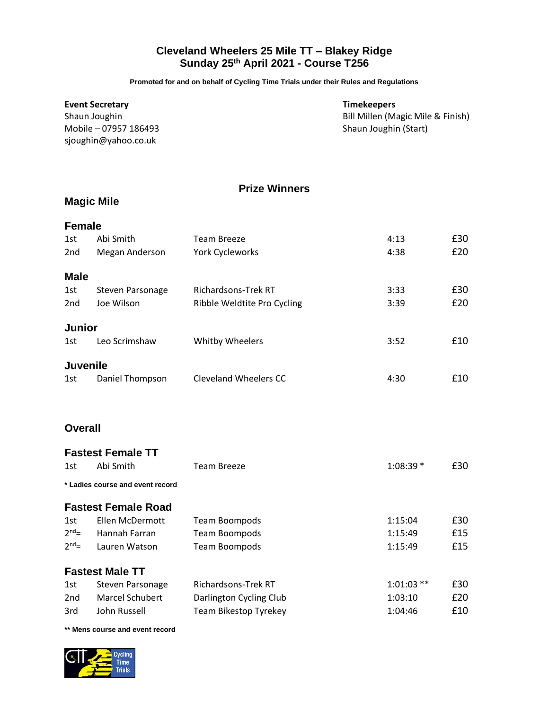### **Cleveland Wheelers 25 Mile TT – Blakey Ridge Sunday 25th April 2021 - Course T256**

**Promoted for and on behalf of Cycling Time Trials under their Rules and Regulations**

#### **Event Secretary Timekeepers**

Mobile – 07957 186493 sjoughin@yahoo.co.uk

Shaun Joughin **Bill Millen (Magic Mile & Finish)** Bill Millen (Magic Mile & Finish) Shaun Joughin (Start)

#### **Prize Winners**

## **Female**

**Magic Mile**

| гспаг           |                                  |                              |              |     |
|-----------------|----------------------------------|------------------------------|--------------|-----|
| 1st             | Abi Smith                        | <b>Team Breeze</b>           | 4:13         | £30 |
| 2 <sub>nd</sub> | Megan Anderson                   | York Cycleworks              | 4:38         | £20 |
| <b>Male</b>     |                                  |                              |              |     |
| 1st             | Steven Parsonage                 | <b>Richardsons-Trek RT</b>   | 3:33         | £30 |
| 2nd             | Joe Wilson                       | Ribble Weldtite Pro Cycling  | 3:39         | £20 |
| <b>Junior</b>   |                                  |                              |              |     |
| 1st             | Leo Scrimshaw                    | Whitby Wheelers              | 3:52         | £10 |
| <b>Juvenile</b> |                                  |                              |              |     |
| 1st             | Daniel Thompson                  | <b>Cleveland Wheelers CC</b> | 4:30         | £10 |
|                 |                                  |                              |              |     |
| <b>Overall</b>  |                                  |                              |              |     |
|                 | <b>Fastest Female TT</b>         |                              |              |     |
| 1st             | Abi Smith                        | <b>Team Breeze</b>           | 1:08:39 *    | £30 |
|                 | * Ladies course and event record |                              |              |     |
|                 | <b>Fastest Female Road</b>       |                              |              |     |
| 1st             | Ellen McDermott                  | Team Boompods                | 1:15:04      | £30 |
| $2^{nd}$ =      | Hannah Farran                    | Team Boompods                | 1:15:49      | £15 |
| $2^{nd}$ =      | Lauren Watson                    | <b>Team Boompods</b>         | 1:15:49      | £15 |
|                 | <b>Fastest Male TT</b>           |                              |              |     |
| 1st             | Steven Parsonage                 | Richardsons-Trek RT          | $1:01:03$ ** | £30 |
| 2nd             | <b>Marcel Schubert</b>           | Darlington Cycling Club      | 1:03:10      | £20 |

3rd John Russell Team Bikestop Tyrekey 1:04:46 £10

**\*\* Mens course and event record**

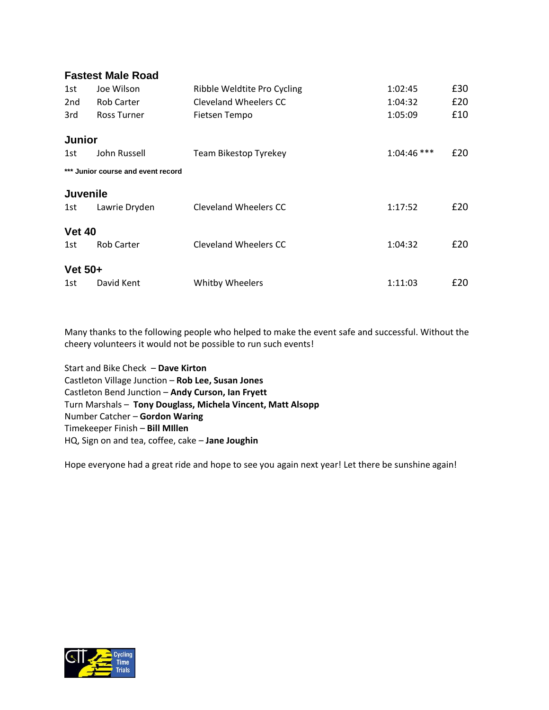|                 | <b>Fastest Male Road</b>           |                              |               |     |
|-----------------|------------------------------------|------------------------------|---------------|-----|
| 1st             | Joe Wilson                         | Ribble Weldtite Pro Cycling  | 1:02:45       | £30 |
| 2nd             | <b>Rob Carter</b>                  | Cleveland Wheelers CC        | 1:04:32       | £20 |
| 3rd             | Ross Turner                        | Fietsen Tempo                | 1:05:09       | £10 |
| <b>Junior</b>   |                                    |                              |               |     |
| 1st             | John Russell                       | Team Bikestop Tyrekey        | $1:04:46$ *** | £20 |
|                 | *** Junior course and event record |                              |               |     |
| <b>Juvenile</b> |                                    |                              |               |     |
| 1st.            | Lawrie Dryden                      | Cleveland Wheelers CC        | 1:17:52       | £20 |
| <b>Vet 40</b>   |                                    |                              |               |     |
| 1st.            | <b>Rob Carter</b>                  | <b>Cleveland Wheelers CC</b> | 1:04:32       | £20 |
| <b>Vet 50+</b>  |                                    |                              |               |     |
| 1st             | David Kent                         | <b>Whitby Wheelers</b>       | 1:11:03       | £20 |

Many thanks to the following people who helped to make the event safe and successful. Without the cheery volunteers it would not be possible to run such events!

Start and Bike Check – **Dave Kirton** Castleton Village Junction – **Rob Lee, Susan Jones** Castleton Bend Junction – **Andy Curson, Ian Fryett** Turn Marshals – **Tony Douglass, Michela Vincent, Matt Alsopp** Number Catcher – **Gordon Waring** Timekeeper Finish – **Bill MIllen** HQ, Sign on and tea, coffee, cake – **Jane Joughin**

Hope everyone had a great ride and hope to see you again next year! Let there be sunshine again!

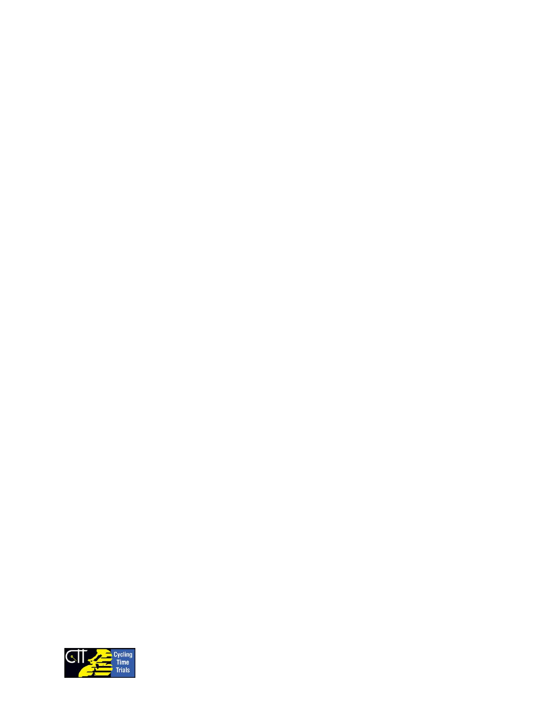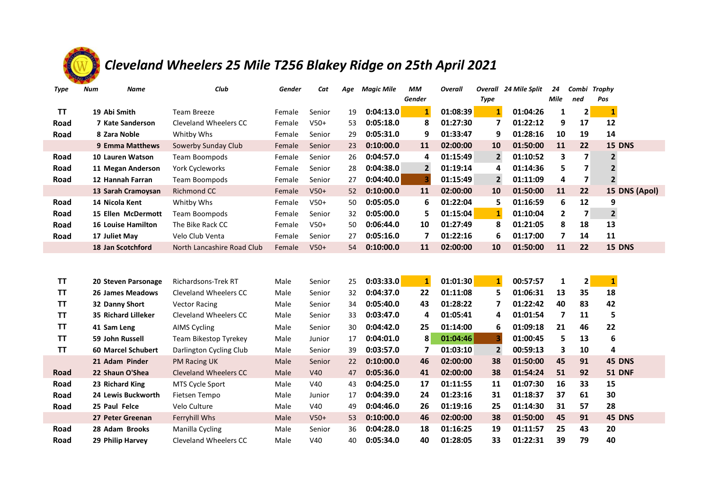

# *Cleveland Wheelers 25 Mile T256 Blakey Ridge on 25th April 2021*

| <b>Type</b> | <b>Num</b><br><b>Name</b>  | Club                         | Gender | Cat    | Age | Magic Mile | МM             | <b>Overall</b> | Overall        | 24 Mile Split | 24           | Combi                   | Trophy         |
|-------------|----------------------------|------------------------------|--------|--------|-----|------------|----------------|----------------|----------------|---------------|--------------|-------------------------|----------------|
|             |                            |                              |        |        |     |            | Gender         |                | Type           |               | Mile         | ned                     | Pos            |
| <b>TT</b>   | 19 Abi Smith               | <b>Team Breeze</b>           | Female | Senior | 19  | 0:04:13.0  | $\mathbf{1}$   | 01:08:39       | 1              | 01:04:26      | $\mathbf{1}$ | $\mathbf{2}$            | $\mathbf 1$    |
| Road        | <b>7 Kate Sanderson</b>    | Cleveland Wheelers CC        | Female | $V50+$ | 53  | 0:05:18.0  | 8              | 01:27:30       | 7              | 01:22:12      | 9            | 17                      | 12             |
| Road        | 8 Zara Noble               | Whitby Whs                   | Female | Senior | 29  | 0:05:31.0  | 9              | 01:33:47       | 9              | 01:28:16      | 10           | 19                      | 14             |
|             | <b>9 Emma Matthews</b>     | Sowerby Sunday Club          | Female | Senior | 23  | 0:10:00.0  | 11             | 02:00:00       | 10             | 01:50:00      | 11           | 22                      | <b>15 DNS</b>  |
| Road        | 10 Lauren Watson           | <b>Team Boompods</b>         | Female | Senior | 26  | 0:04:57.0  | 4              | 01:15:49       | $\overline{2}$ | 01:10:52      | 3            | $\overline{\mathbf{z}}$ | $\mathbf{2}$   |
| Road        | 11 Megan Anderson          | York Cycleworks              | Female | Senior | 28  | 0:04:38.0  | $\overline{2}$ | 01:19:14       | 4              | 01:14:36      | 5            | $\overline{\mathbf{z}}$ | $\overline{2}$ |
| Road        | 12 Hannah Farran           | Team Boompods                | Female | Senior | 27  | 0:04:40.0  | 3              | 01:15:49       | $\overline{2}$ | 01:11:09      | 4            | $\overline{\mathbf{z}}$ | $\overline{2}$ |
|             | 13 Sarah Cramoysan         | <b>Richmond CC</b>           | Female | $V50+$ | 52  | 0:10:00.0  | 11             | 02:00:00       | 10             | 01:50:00      | 11           | 22                      | 15 DNS (Apol)  |
| Road        | 14 Nicola Kent             | Whitby Whs                   | Female | $V50+$ | 50  | 0:05:05.0  | 6              | 01:22:04       |                | 01:16:59      | 6            | 12                      | 9              |
| Road        | <b>15 Ellen McDermott</b>  | <b>Team Boompods</b>         | Female | Senior | 32  | 0:05:00.0  | 5              | 01:15:04       | 1              | 01:10:04      | $\mathbf{2}$ | $\overline{\mathbf{z}}$ | $\mathbf{2}$   |
| Road        | <b>16 Louise Hamilton</b>  | The Bike Rack CC             | Female | $V50+$ | 50  | 0:06:44.0  | 10             | 01:27:49       | 8              | 01:21:05      | 8            | 18                      | 13             |
| Road        | 17 Juliet May              | Velo Club Venta              | Female | Senior | 27  | 0:05:16.0  | 7              | 01:22:16       | 6              | 01:17:00      | 7            | 14                      | 11             |
|             | 18 Jan Scotchford          | North Lancashire Road Club   | Female | $V50+$ | 54  | 0:10:00.0  | 11             | 02:00:00       | 10             | 01:50:00      | 11           | 22                      | <b>15 DNS</b>  |
|             |                            |                              |        |        |     |            |                |                |                |               |              |                         |                |
|             |                            |                              |        |        |     |            |                |                |                |               |              |                         |                |
| ΤT          | 20 Steven Parsonage        | <b>Richardsons-Trek RT</b>   | Male   | Senior | 25  | 0:03:33.0  | $\mathbf 1$    | 01:01:30       | $\mathbf{1}$   | 00:57:57      | 1            | $\mathbf{2}$            | $\mathbf 1$    |
| <b>TT</b>   | 26 James Meadows           | <b>Cleveland Wheelers CC</b> | Male   | Senior | 32  | 0:04:37.0  | 22             | 01:11:08       | 5              | 01:06:31      | 13           | 35                      | 18             |
| <b>TT</b>   | 32 Danny Short             | <b>Vector Racing</b>         | Male   | Senior | 34  | 0:05:40.0  | 43             | 01:28:22       | 7              | 01:22:42      | 40           | 83                      | 42             |
| <b>TT</b>   | <b>35 Richard Lilleker</b> | <b>Cleveland Wheelers CC</b> | Male   | Senior | 33  | 0:03:47.0  | 4              | 01:05:41       | 4              | 01:01:54      | 7            | 11                      | 5              |
| <b>TT</b>   | 41 Sam Leng                | <b>AIMS Cycling</b>          | Male   | Senior | 30  | 0:04:42.0  | 25             | 01:14:00       | 6              | 01:09:18      | 21           | 46                      | 22             |
| <b>TT</b>   | 59 John Russell            | Team Bikestop Tyrekey        | Male   | Junior | 17  | 0:04:01.0  | 8              | 01:04:46       | 3              | 01:00:45      | 5            | 13                      | 6              |
| <b>TT</b>   | 60 Marcel Schubert         | Darlington Cycling Club      | Male   | Senior | 39  | 0:03:57.0  | 7              | 01:03:10       | $\overline{2}$ | 00:59:13      | 3            | 10                      | 4              |
|             | 21 Adam Pinder             | PM Racing UK                 | Male   | Senior | 22  | 0:10:00.0  | 46             | 02:00:00       | 38             | 01:50:00      | 45           | 91                      | 45 DNS         |
| Road        | 22 Shaun O'Shea            | <b>Cleveland Wheelers CC</b> | Male   | V40    | 47  | 0:05:36.0  | 41             | 02:00:00       | 38             | 01:54:24      | 51           | 92                      | <b>51 DNF</b>  |
| Road        | 23 Richard King            | MTS Cycle Sport              | Male   | V40    | 43  | 0:04:25.0  | 17             | 01:11:55       | 11             | 01:07:30      | 16           | 33                      | 15             |
| Road        | 24 Lewis Buckworth         | Fietsen Tempo                | Male   | Junior | 17  | 0:04:39.0  | 24             | 01:23:16       | 31             | 01:18:37      | 37           | 61                      | 30             |
| Road        | 25 Paul Felce              | Velo Culture                 | Male   | V40    | 49  | 0:04:46.0  | 26             | 01:19:16       | 25             | 01:14:30      | 31           | 57                      | 28             |
|             | 27 Peter Greenan           | Ferryhill Whs                | Male   | $V50+$ | 53  | 0:10:00.0  | 46             | 02:00:00       | 38             | 01:50:00      | 45           | 91                      | <b>45 DNS</b>  |
| Road        | 28 Adam Brooks             | Manilla Cycling              | Male   | Senior | 36  | 0:04:28.0  | 18             | 01:16:25       | 19             | 01:11:57      | 25           | 43                      | 20             |
| Road        | 29 Philip Harvey           | <b>Cleveland Wheelers CC</b> | Male   | V40    | 40  | 0:05:34.0  | 40             | 01:28:05       | 33             | 01:22:31      | 39           | 79                      | 40             |
|             |                            |                              |        |        |     |            |                |                |                |               |              |                         |                |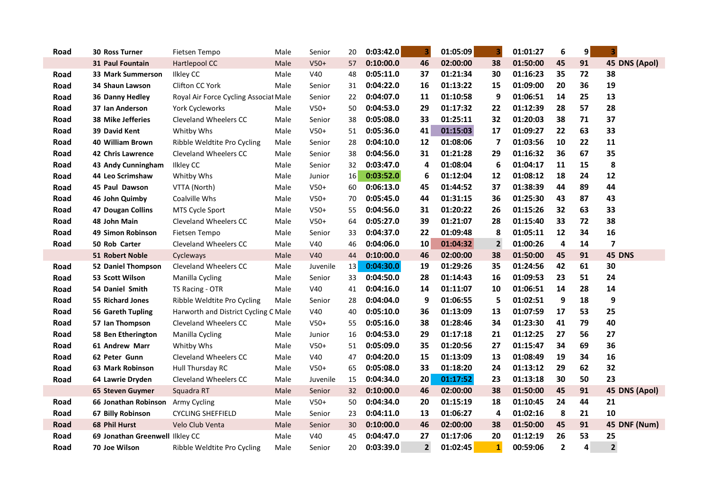| Road | <b>30 Ross Turner</b>           | Fietsen Tempo                         | Male | Senior   | 20 | 0:03:42.0              | 3                    | 01:05:09             | 3                  | 01:01:27             | 6                  | 9       | 3 <sup>1</sup>          |
|------|---------------------------------|---------------------------------------|------|----------|----|------------------------|----------------------|----------------------|--------------------|----------------------|--------------------|---------|-------------------------|
|      | <b>31 Paul Fountain</b>         | Hartlepool CC                         | Male | $V50+$   | 57 | 0:10:00.0              | 46                   | 02:00:00             | 38                 | 01:50:00             | 45                 | 91      | 45 DNS (Apol)           |
| Road | <b>33 Mark Summerson</b>        | <b>Ilkley CC</b>                      | Male | V40      | 48 | 0:05:11.0              | 37                   | 01:21:34             | 30                 | 01:16:23             | 35                 | 72      | 38                      |
| Road | 34 Shaun Lawson                 | Clifton CC York                       | Male | Senior   | 31 | 0:04:22.0              | 16                   | 01:13:22             | 15                 | 01:09:00             | 20                 | 36      | 19                      |
| Road | 36 Danny Hedley                 | Royal Air Force Cycling Associat Male |      | Senior   | 22 | 0:04:07.0              | 11                   | 01:10:58             | 9                  | 01:06:51             | 14                 | 25      | 13                      |
| Road | 37 Ian Anderson                 | York Cycleworks                       | Male | $V50+$   | 50 | 0:04:53.0              | 29                   | 01:17:32             | 22                 | 01:12:39             | 28                 | 57      | 28                      |
| Road | <b>38 Mike Jefferies</b>        | Cleveland Wheelers CC                 | Male | Senior   | 38 | 0:05:08.0              | 33                   | 01:25:11             | 32                 | 01:20:03             | 38                 | 71      | 37                      |
| Road | 39 David Kent                   | Whitby Whs                            | Male | $V50+$   | 51 | 0:05:36.0              | 41                   | 01:15:03             | 17                 | 01:09:27             | 22                 | 63      | 33                      |
| Road | <b>40 William Brown</b>         | Ribble Weldtite Pro Cycling           | Male | Senior   | 28 | 0:04:10.0              | 12                   | 01:08:06             | 7                  | 01:03:56             | 10                 | 22      | 11                      |
| Road | 42 Chris Lawrence               | Cleveland Wheelers CC                 | Male | Senior   | 38 | 0:04:56.0              | 31                   | 01:21:28             | 29                 | 01:16:32             | 36                 | 67      | 35                      |
| Road | 43 Andy Cunningham              | <b>Ilkley CC</b>                      | Male | Senior   | 32 | 0:03:47.0              | 4                    | 01:08:04             | 6                  | 01:04:17             | 11                 | 15      | 8                       |
| Road | 44 Leo Scrimshaw                | Whitby Whs                            | Male | Junior   | 16 | 0:03:52.0              | 6                    | 01:12:04             | 12                 | 01:08:12             | 18                 | 24      | 12                      |
| Road | 45 Paul Dawson                  | VTTA (North)                          | Male | $V50+$   | 60 | 0:06:13.0              | 45                   | 01:44:52             | 37                 | 01:38:39             | 44                 | 89      | 44                      |
| Road | 46 John Quimby                  | Coalville Whs                         | Male | $V50+$   | 70 | 0:05:45.0              | 44                   | 01:31:15             | 36                 | 01:25:30             | 43                 | 87      | 43                      |
| Road | 47 Dougan Collins               | MTS Cycle Sport                       | Male | $V50+$   | 55 | 0:04:56.0              | 31                   | 01:20:22             | 26                 | 01:15:26             | 32                 | 63      | 33                      |
| Road | 48 John Main                    | <b>Cleveland Wheelers CC</b>          | Male | $V50+$   | 64 | 0:05:27.0              | 39                   | 01:21:07             | 28                 | 01:15:40             | 33                 | 72      | 38                      |
| Road | 49 Simon Robinson               | Fietsen Tempo                         | Male | Senior   | 33 | 0:04:37.0              | 22                   | 01:09:48             | 8                  | 01:05:11             | 12                 | 34      | 16                      |
| Road | 50 Rob Carter                   | <b>Cleveland Wheelers CC</b>          | Male | V40      | 46 | 0:04:06.0              | 10                   | 01:04:32             | $\mathbf{2}$       | 01:00:26             | 4                  | 14      | $\overline{\mathbf{z}}$ |
|      |                                 |                                       |      |          |    |                        |                      |                      |                    |                      |                    |         |                         |
|      | 51 Robert Noble                 | Cycleways                             | Male | V40      | 44 | 0:10:00.0              | 46                   | 02:00:00             | 38                 | 01:50:00             | 45                 | 91      | 45 DNS                  |
| Road | 52 Daniel Thompson              | Cleveland Wheelers CC                 | Male | Juvenile | 13 | 0:04:30.0              | 19                   | 01:29:26             | 35                 | 01:24:56             | 42                 | 61      | 30                      |
| Road | 53 Scott Wilson                 | Manilla Cycling                       | Male | Senior   | 33 | 0:04:50.0              | 28                   | 01:14:43             | 16                 | 01:09:53             | 23                 | 51      | 24                      |
| Road | 54 Daniel Smith                 | TS Racing - OTR                       | Male | V40      | 41 | 0:04:16.0              | 14                   | 01:11:07             | 10                 | 01:06:51             | 14                 | 28      | 14                      |
| Road | <b>55 Richard Jones</b>         | Ribble Weldtite Pro Cycling           | Male | Senior   | 28 | 0:04:04.0              | 9                    | 01:06:55             | 5                  | 01:02:51             | 9                  | 18      | 9                       |
| Road | 56 Gareth Tupling               | Harworth and District Cycling C Male  |      | V40      | 40 | 0:05:10.0              | 36                   | 01:13:09             | 13                 | 01:07:59             | 17                 | 53      | 25                      |
| Road | 57 Ian Thompson                 | Cleveland Wheelers CC                 | Male | $V50+$   | 55 | 0:05:16.0              | 38                   | 01:28:46             | 34                 | 01:23:30             | 41                 | 79      | 40                      |
| Road | 58 Ben Etherington              | <b>Manilla Cycling</b>                | Male | Junior   | 16 | 0:04:53.0              | 29                   | 01:17:18             | 21                 | 01:12:25             | 27                 | 56      | 27                      |
| Road | 61 Andrew Marr                  | Whitby Whs                            | Male | $V50+$   | 51 | 0:05:09.0              | 35                   | 01:20:56             | 27                 | 01:15:47             | 34                 | 69      | 36                      |
| Road | 62 Peter Gunn                   | <b>Cleveland Wheelers CC</b>          | Male | V40      | 47 | 0:04:20.0              | 15                   | 01:13:09             | 13                 | 01:08:49             | 19                 | 34      | 16                      |
| Road | 63 Mark Robinson                | Hull Thursday RC                      | Male | $V50+$   | 65 | 0:05:08.0              | 33                   | 01:18:20             | 24                 | 01:13:12             | 29                 | 62      | 32                      |
| Road | 64 Lawrie Dryden                | Cleveland Wheelers CC                 | Male | Juvenile | 15 | 0:04:34.0              | 20                   | 01:17:52             | 23                 | 01:13:18             | 30                 | 50      | 23                      |
|      | 65 Steven Guymer                | Squadra RT                            | Male | Senior   | 32 | 0:10:00.0              | 46                   | 02:00:00             | 38                 | 01:50:00             | 45                 | 91      | 45 DNS (Apol)           |
| Road | 66 Jonathan Robinson            | Army Cycling                          | Male | $V50+$   | 50 | 0:04:34.0              | 20                   | 01:15:19             | 18                 | 01:10:45             | 24                 | 44      | 21                      |
| Road | 67 Billy Robinson               | <b>CYCLING SHEFFIELD</b>              | Male | Senior   | 23 | 0:04:11.0              | 13                   | 01:06:27             | 4                  | 01:02:16             | 8                  | 21      | 10                      |
| Road | 68 Phil Hurst                   | Velo Club Venta                       | Male | Senior   | 30 | 0:10:00.0              | 46                   | 02:00:00             | 38                 | 01:50:00             | 45                 | 91      | 45 DNF (Num)            |
| Road | 69 Jonathan Greenwell Ilkley CC |                                       | Male | V40      | 45 | 0:04:47.0<br>0:03:39.0 | 27<br>$\overline{2}$ | 01:17:06<br>01:02:45 | 20<br>$\mathbf{1}$ | 01:12:19<br>00:59:06 | 26<br>$\mathbf{2}$ | 53<br>4 | 25<br>$\overline{2}$    |